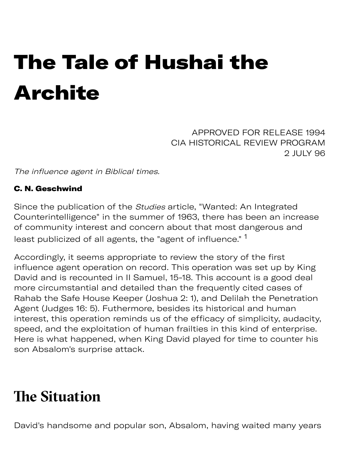# The Tale of Hushai the Archite

APPROVED FOR RELEASE 1994 CIA HISTORICAL REVIEW PROGRAM 2 JULY 96

The influence agent in Biblical times.

#### C. N. Geschwind

Since the publication of the Studies article, "Wanted: An Integrated Counterintelligence" in the summer of 1963, there has been an increase of community interest and concern about that most dangerous and least publicized of all agents, the "agent of influence." <sup>1</sup>

Accordingly, it seems appropriate to review the story of the first influence agent operation on record. This operation was set up by King David and is recounted in II Samuel, 15-18. This account is a good deal more circumstantial and detailed than the frequently cited cases of Rahab the Safe House Keeper (Joshua 2: 1), and Delilah the Penetration Agent (Judges 16: 5). Futhermore, besides its historical and human interest, this operation reminds us of the efficacy of simplicity, audacity, speed, and the exploitation of human frailties in this kind of enterprise. Here is what happened, when King David played for time to counter his son Absalom's surprise attack.

#### **The Situation**

David's handsome and popular son, Absalom, having waited many years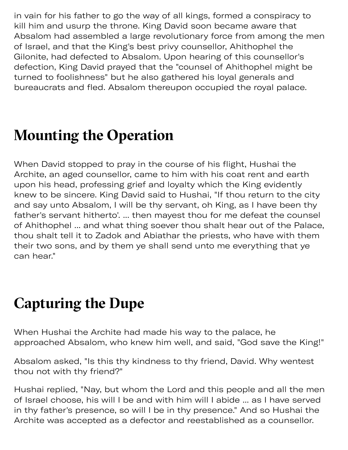in vain for his father to go the way of all kings, formed a conspiracy to kill him and usurp the throne. King David soon became aware that Absalom had assembled a large revolutionary force from among the men of Israel, and that the King's best privy counsellor, Ahithophel the Gilonite, had defected to Absalom. Upon hearing of this counsellor's defection, King David prayed that the "counsel of Ahithophel might be turned to foolishness" but he also gathered his loyal generals and bureaucrats and fled. Absalom thereupon occupied the royal palace.

#### **Mounting the Operation**

When David stopped to pray in the course of his flight, Hushai the Archite, an aged counsellor, came to him with his coat rent and earth upon his head, professing grief and loyalty which the King evidently knew to be sincere. King David said to Hushai, "If thou return to the city and say unto Absalom, I will be thy servant, oh King, as I have been thy father's servant hitherto'. ... then mayest thou for me defeat the counsel of Ahithophel ... and what thing soever thou shalt hear out of the Palace, thou shalt tell it to Zadok and Abiathar the priests, who have with them their two sons, and by them ye shall send unto me everything that ye can hear."

#### **Capturing the Dupe**

When Hushai the Archite had made his way to the palace, he approached Absalom, who knew him well, and said, "God save the King!"

Absalom asked, "Is this thy kindness to thy friend, David. Why wentest thou not with thy friend?"

Hushai replied, "Nay, but whom the Lord and this people and all the men of Israel choose, his will I be and with him will I abide ... as I have served in thy father's presence, so will I be in thy presence." And so Hushai the Archite was accepted as a defector and reestablished as a counsellor.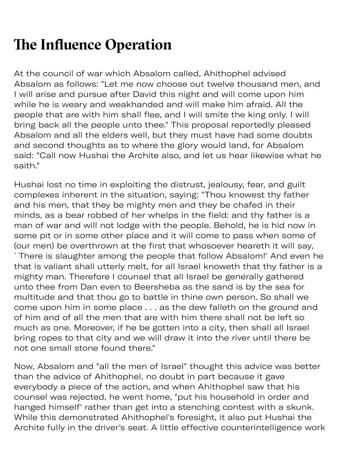## **The Influence Operation**

At the council of war which Absalom called, Ahithophel advised Absalom as follows: "Let me now choose out twelve thousand men, and I will arise and pursue after David this night and will come upon him while he is weary and weakhanded and will make him afraid. All the people that are with him shall flee, and I will smite the king only. I will bring back all the people unto thee." This proposal reportedly pleased Absalom and all the elders well, but they must have had some doubts and second thoughts as to where the glory would land, for Absalom said: "Call now Hushai the Archite also, and let us hear likewise what he saith."

Hushai lost no time in exploiting the distrust, jealousy, fear, and guilt complexes inherent in the situation, saying: "Thou knowest thy father and his men, that they be mighty men and they be chafed in their minds, as a bear robbed of her whelps in the field: and thy father is a man of war and will not lodge with the people. Behold, he is hid now in some pit or in some other place and it will come to pass when some of (our men) be overthrown at the first that whosoever heareth it will say, `There is slaughter among the people that follow Absalom!' And even he that is valiant shall utterly melt, for all Israel knoweth that thy father is a mighty man. Therefore I counsel that all Israel be generally gathered unto thee from Dan even to Beersheba as the sand is by the sea for multitude and that thou go to battle in thine own person. So shall we come upon him in some place . . . as the dew falleth on the ground and of him and of all the men that are with him there shall not be left so much as one. Moreover, if he be gotten into a city, then shall all Israel bring ropes to that city and we will draw it into the river until there be not one small stone found there."

Now, Absalom and "all the men of Israel" thought this advice was better than the advice of Ahithophel, no doubt in part because it gave everybody a piece of the action, and when Ahithophel saw that his counsel was rejected, he went home, "put his household in order and hanged himself' rather than get into a stenching contest with a skunk. While this demonstrated Ahithophel's foresight, it also put Hushai the Archite fully in the driver's seat. A little effective counterintelligence work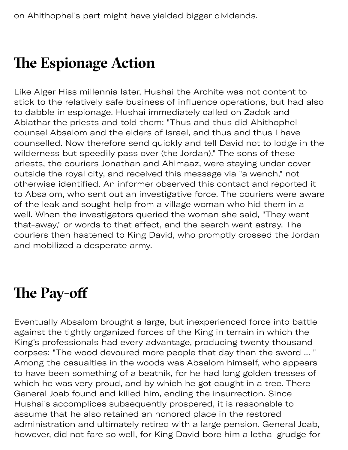### **The Espionage Action**

Like Alger Hiss millennia later, Hushai the Archite was not content to stick to the relatively safe business of influence operations, but had also to dabble in espionage. Hushai immediately called on Zadok and Abiathar the priests and told them: "Thus and thus did Ahithophel counsel Absalom and the elders of Israel, and thus and thus I have counselled. Now therefore send quickly and tell David not to lodge in the wilderness but speedily pass over (the Jordan)." The sons of these priests, the couriers Jonathan and Ahimaaz, were staying under cover outside the royal city, and received this message via "a wench," not otherwise identified. An informer observed this contact and reported it to Absalom, who sent out an investigative force. The couriers were aware of the leak and sought help from a village woman who hid them in a well. When the investigators queried the woman she said, "They went that-away," or words to that effect, and the search went astray. The couriers then hastened to King David, who promptly crossed the Jordan and mobilized a desperate army.

### **The Pay-off**

Eventually Absalom brought a large, but inexperienced force into battle against the tightly organized forces of the King in terrain in which the King's professionals had every advantage, producing twenty thousand corpses: "The wood devoured more people that day than the sword ... " Among the casualties in the woods was Absalom himself, who appears to have been something of a beatnik, for he had long golden tresses of which he was very proud, and by which he got caught in a tree. There General Joab found and killed him, ending the insurrection. Since Hushai's accomplices subsequently prospered, it is reasonable to assume that he also retained an honored place in the restored administration and ultimately retired with a large pension. General Joab, however, did not fare so well, for King David bore him a lethal grudge for